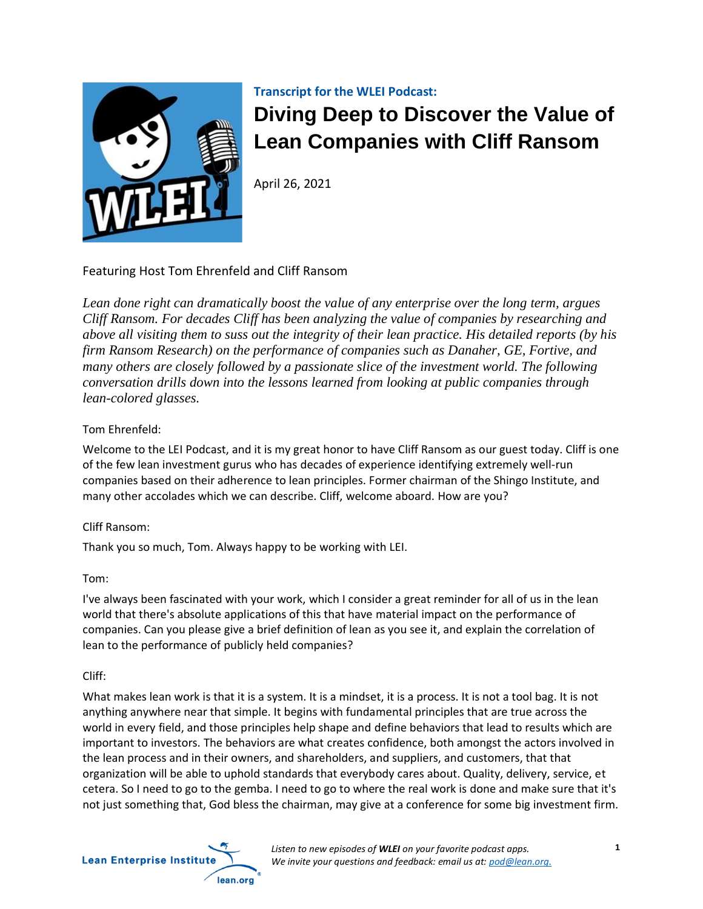

## **Transcript for the WLEI Podcast:**

# **Diving Deep to Discover the Value of Lean Companies with Cliff Ransom**

April 26, 2021

# Featuring Host Tom Ehrenfeld and Cliff Ransom

*Lean done right can dramatically boost the value of any enterprise over the long term, argues Cliff Ransom. For decades Cliff has been analyzing the value of companies by researching and above all visiting them to suss out the integrity of their lean practice. His detailed reports (by his firm Ransom Research) on the performance of companies such as Danaher, GE, Fortive, and many others are closely followed by a passionate slice of the investment world. The following conversation drills down into the lessons learned from looking at public companies through lean-colored glasses.* 

## Tom Ehrenfeld:

Welcome to the LEI Podcast, and it is my great honor to have Cliff Ransom as our guest today. Cliff is one of the few lean investment gurus who has decades of experience identifying extremely well-run companies based on their adherence to lean principles. Former chairman of the Shingo Institute, and many other accolades which we can describe. Cliff, welcome aboard. How are you?

## Cliff Ransom:

Thank you so much, Tom. Always happy to be working with LEI.

## Tom:

I've always been fascinated with your work, which I consider a great reminder for all of us in the lean world that there's absolute applications of this that have material impact on the performance of companies. Can you please give a brief definition of lean as you see it, and explain the correlation of lean to the performance of publicly held companies?

## Cliff:

What makes lean work is that it is a system. It is a mindset, it is a process. It is not a tool bag. It is not anything anywhere near that simple. It begins with fundamental principles that are true across the world in every field, and those principles help shape and define behaviors that lead to results which are important to investors. The behaviors are what creates confidence, both amongst the actors involved in the lean process and in their owners, and shareholders, and suppliers, and customers, that that organization will be able to uphold standards that everybody cares about. Quality, delivery, service, et cetera. So I need to go to the gemba. I need to go to where the real work is done and make sure that it's not just something that, God bless the chairman, may give at a conference for some big investment firm.

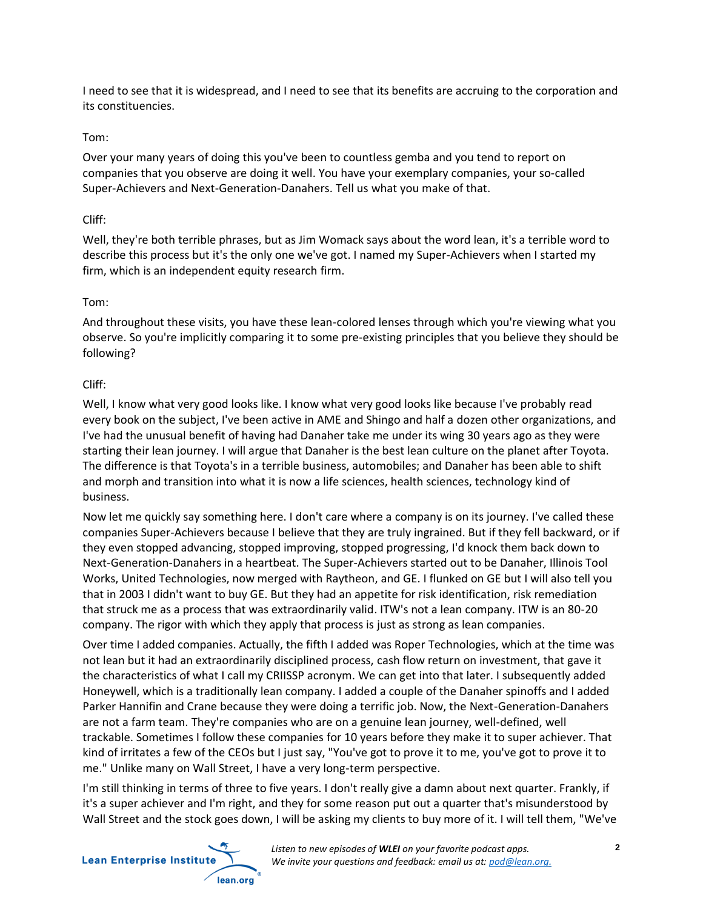I need to see that it is widespread, and I need to see that its benefits are accruing to the corporation and its constituencies.

#### Tom:

Over your many years of doing this you've been to countless gemba and you tend to report on companies that you observe are doing it well. You have your exemplary companies, your so-called Super-Achievers and Next-Generation-Danahers. Tell us what you make of that.

#### Cliff:

Well, they're both terrible phrases, but as Jim Womack says about the word lean, it's a terrible word to describe this process but it's the only one we've got. I named my Super-Achievers when I started my firm, which is an independent equity research firm.

#### Tom:

And throughout these visits, you have these lean-colored lenses through which you're viewing what you observe. So you're implicitly comparing it to some pre-existing principles that you believe they should be following?

## Cliff:

Well, I know what very good looks like. I know what very good looks like because I've probably read every book on the subject, I've been active in AME and Shingo and half a dozen other organizations, and I've had the unusual benefit of having had Danaher take me under its wing 30 years ago as they were starting their lean journey. I will argue that Danaher is the best lean culture on the planet after Toyota. The difference is that Toyota's in a terrible business, automobiles; and Danaher has been able to shift and morph and transition into what it is now a life sciences, health sciences, technology kind of business.

Now let me quickly say something here. I don't care where a company is on its journey. I've called these companies Super-Achievers because I believe that they are truly ingrained. But if they fell backward, or if they even stopped advancing, stopped improving, stopped progressing, I'd knock them back down to Next-Generation-Danahers in a heartbeat. The Super-Achievers started out to be Danaher, Illinois Tool Works, United Technologies, now merged with Raytheon, and GE. I flunked on GE but I will also tell you that in 2003 I didn't want to buy GE. But they had an appetite for risk identification, risk remediation that struck me as a process that was extraordinarily valid. ITW's not a lean company. ITW is an 80-20 company. The rigor with which they apply that process is just as strong as lean companies.

Over time I added companies. Actually, the fifth I added was Roper Technologies, which at the time was not lean but it had an extraordinarily disciplined process, cash flow return on investment, that gave it the characteristics of what I call my CRIISSP acronym. We can get into that later. I subsequently added Honeywell, which is a traditionally lean company. I added a couple of the Danaher spinoffs and I added Parker Hannifin and Crane because they were doing a terrific job. Now, the Next-Generation-Danahers are not a farm team. They're companies who are on a genuine lean journey, well-defined, well trackable. Sometimes I follow these companies for 10 years before they make it to super achiever. That kind of irritates a few of the CEOs but I just say, "You've got to prove it to me, you've got to prove it to me." Unlike many on Wall Street, I have a very long-term perspective.

I'm still thinking in terms of three to five years. I don't really give a damn about next quarter. Frankly, if it's a super achiever and I'm right, and they for some reason put out a quarter that's misunderstood by Wall Street and the stock goes down, I will be asking my clients to buy more of it. I will tell them, "We've

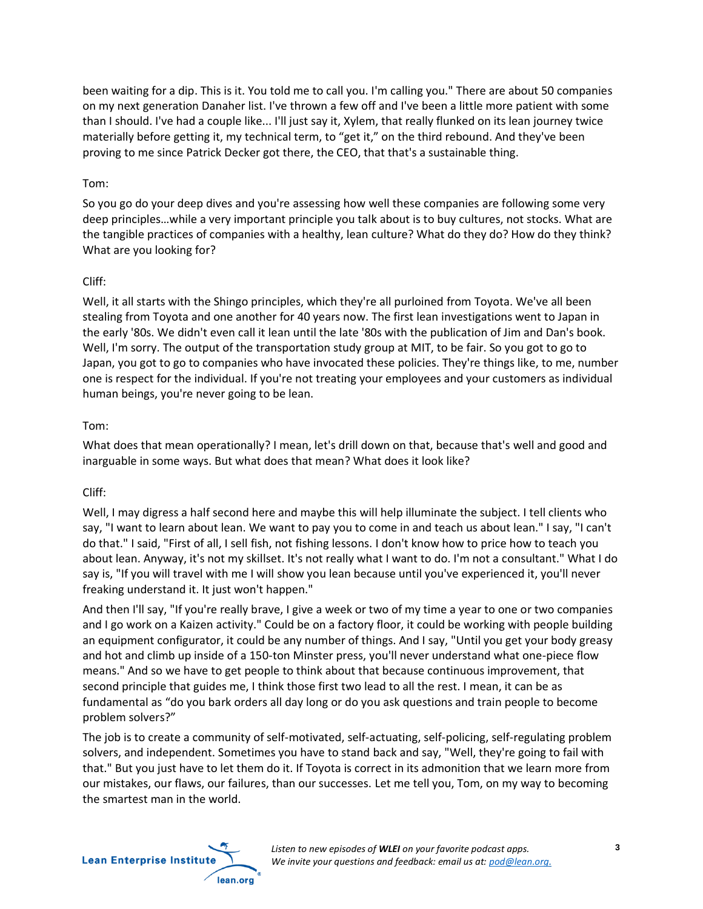been waiting for a dip. This is it. You told me to call you. I'm calling you." There are about 50 companies on my next generation Danaher list. I've thrown a few off and I've been a little more patient with some than I should. I've had a couple like... I'll just say it, Xylem, that really flunked on its lean journey twice materially before getting it, my technical term, to "get it," on the third rebound. And they've been proving to me since Patrick Decker got there, the CEO, that that's a sustainable thing.

#### Tom:

So you go do your deep dives and you're assessing how well these companies are following some very deep principles…while a very important principle you talk about is to buy cultures, not stocks. What are the tangible practices of companies with a healthy, lean culture? What do they do? How do they think? What are you looking for?

#### Cliff:

Well, it all starts with the Shingo principles, which they're all purloined from Toyota. We've all been stealing from Toyota and one another for 40 years now. The first lean investigations went to Japan in the early '80s. We didn't even call it lean until the late '80s with the publication of Jim and Dan's book. Well, I'm sorry. The output of the transportation study group at MIT, to be fair. So you got to go to Japan, you got to go to companies who have invocated these policies. They're things like, to me, number one is respect for the individual. If you're not treating your employees and your customers as individual human beings, you're never going to be lean.

## Tom:

What does that mean operationally? I mean, let's drill down on that, because that's well and good and inarguable in some ways. But what does that mean? What does it look like?

## Cliff:

Well, I may digress a half second here and maybe this will help illuminate the subject. I tell clients who say, "I want to learn about lean. We want to pay you to come in and teach us about lean." I say, "I can't do that." I said, "First of all, I sell fish, not fishing lessons. I don't know how to price how to teach you about lean. Anyway, it's not my skillset. It's not really what I want to do. I'm not a consultant." What I do say is, "If you will travel with me I will show you lean because until you've experienced it, you'll never freaking understand it. It just won't happen."

And then I'll say, "If you're really brave, I give a week or two of my time a year to one or two companies and I go work on a Kaizen activity." Could be on a factory floor, it could be working with people building an equipment configurator, it could be any number of things. And I say, "Until you get your body greasy and hot and climb up inside of a 150-ton Minster press, you'll never understand what one-piece flow means." And so we have to get people to think about that because continuous improvement, that second principle that guides me, I think those first two lead to all the rest. I mean, it can be as fundamental as "do you bark orders all day long or do you ask questions and train people to become problem solvers?"

The job is to create a community of self-motivated, self-actuating, self-policing, self-regulating problem solvers, and independent. Sometimes you have to stand back and say, "Well, they're going to fail with that." But you just have to let them do it. If Toyota is correct in its admonition that we learn more from our mistakes, our flaws, our failures, than our successes. Let me tell you, Tom, on my way to becoming the smartest man in the world.

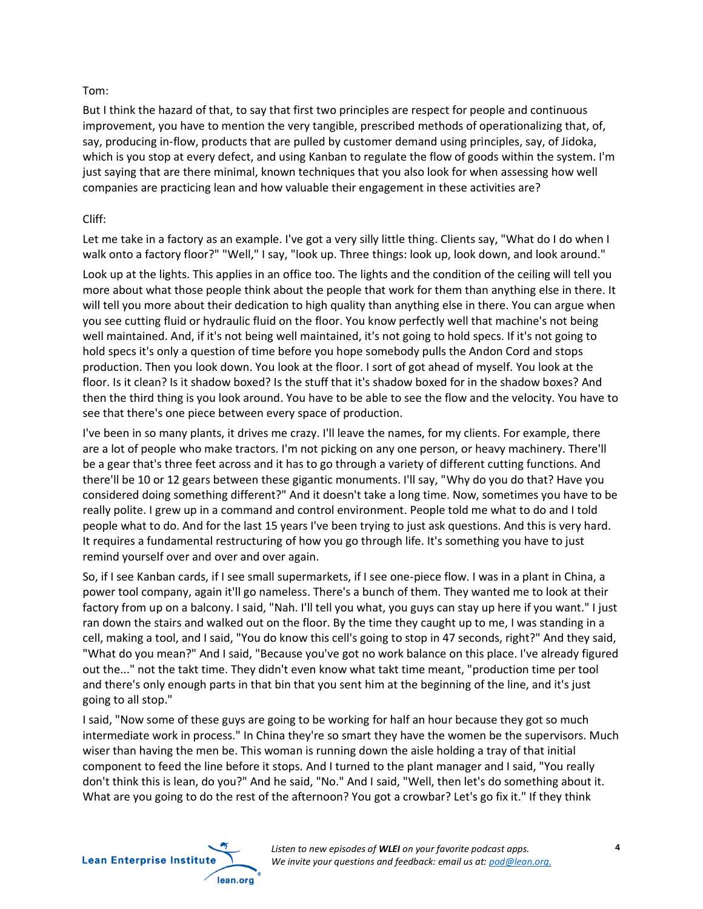#### Tom:

But I think the hazard of that, to say that first two principles are respect for people and continuous improvement, you have to mention the very tangible, prescribed methods of operationalizing that, of, say, producing in-flow, products that are pulled by customer demand using principles, say, of Jidoka, which is you stop at every defect, and using Kanban to regulate the flow of goods within the system. I'm just saying that are there minimal, known techniques that you also look for when assessing how well companies are practicing lean and how valuable their engagement in these activities are?

#### Cliff:

Let me take in a factory as an example. I've got a very silly little thing. Clients say, "What do I do when I walk onto a factory floor?" "Well," I say, "look up. Three things: look up, look down, and look around."

Look up at the lights. This applies in an office too. The lights and the condition of the ceiling will tell you more about what those people think about the people that work for them than anything else in there. It will tell you more about their dedication to high quality than anything else in there. You can argue when you see cutting fluid or hydraulic fluid on the floor. You know perfectly well that machine's not being well maintained. And, if it's not being well maintained, it's not going to hold specs. If it's not going to hold specs it's only a question of time before you hope somebody pulls the Andon Cord and stops production. Then you look down. You look at the floor. I sort of got ahead of myself. You look at the floor. Is it clean? Is it shadow boxed? Is the stuff that it's shadow boxed for in the shadow boxes? And then the third thing is you look around. You have to be able to see the flow and the velocity. You have to see that there's one piece between every space of production.

I've been in so many plants, it drives me crazy. I'll leave the names, for my clients. For example, there are a lot of people who make tractors. I'm not picking on any one person, or heavy machinery. There'll be a gear that's three feet across and it has to go through a variety of different cutting functions. And there'll be 10 or 12 gears between these gigantic monuments. I'll say, "Why do you do that? Have you considered doing something different?" And it doesn't take a long time. Now, sometimes you have to be really polite. I grew up in a command and control environment. People told me what to do and I told people what to do. And for the last 15 years I've been trying to just ask questions. And this is very hard. It requires a fundamental restructuring of how you go through life. It's something you have to just remind yourself over and over and over again.

So, if I see Kanban cards, if I see small supermarkets, if I see one-piece flow. I was in a plant in China, a power tool company, again it'll go nameless. There's a bunch of them. They wanted me to look at their factory from up on a balcony. I said, "Nah. I'll tell you what, you guys can stay up here if you want." I just ran down the stairs and walked out on the floor. By the time they caught up to me, I was standing in a cell, making a tool, and I said, "You do know this cell's going to stop in 47 seconds, right?" And they said, "What do you mean?" And I said, "Because you've got no work balance on this place. I've already figured out the..." not the takt time. They didn't even know what takt time meant, "production time per tool and there's only enough parts in that bin that you sent him at the beginning of the line, and it's just going to all stop."

I said, "Now some of these guys are going to be working for half an hour because they got so much intermediate work in process." In China they're so smart they have the women be the supervisors. Much wiser than having the men be. This woman is running down the aisle holding a tray of that initial component to feed the line before it stops. And I turned to the plant manager and I said, "You really don't think this is lean, do you?" And he said, "No." And I said, "Well, then let's do something about it. What are you going to do the rest of the afternoon? You got a crowbar? Let's go fix it." If they think

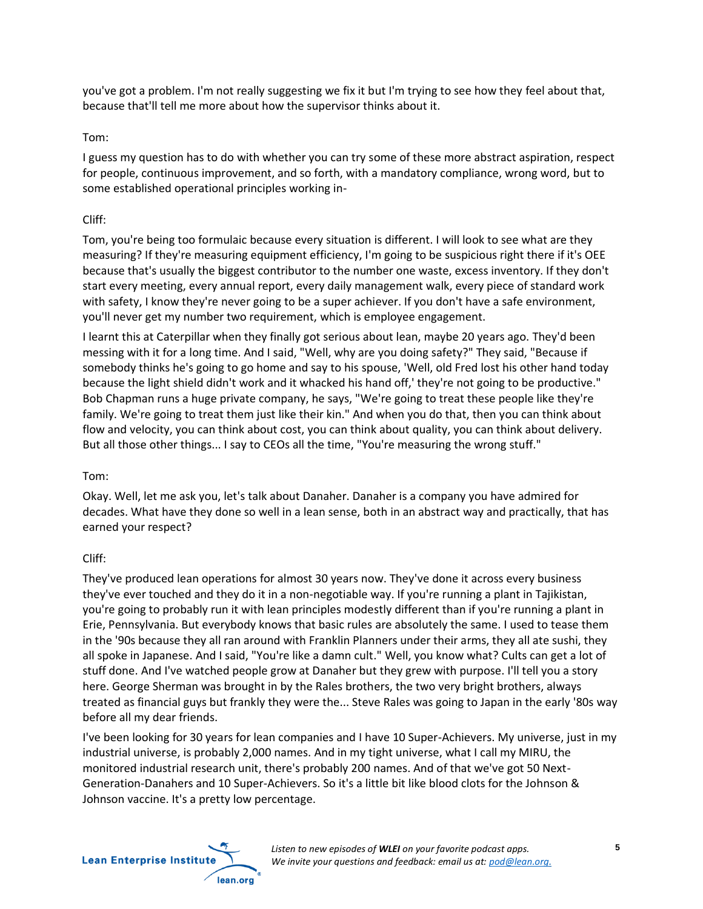you've got a problem. I'm not really suggesting we fix it but I'm trying to see how they feel about that, because that'll tell me more about how the supervisor thinks about it.

#### Tom:

I guess my question has to do with whether you can try some of these more abstract aspiration, respect for people, continuous improvement, and so forth, with a mandatory compliance, wrong word, but to some established operational principles working in-

#### Cliff:

Tom, you're being too formulaic because every situation is different. I will look to see what are they measuring? If they're measuring equipment efficiency, I'm going to be suspicious right there if it's OEE because that's usually the biggest contributor to the number one waste, excess inventory. If they don't start every meeting, every annual report, every daily management walk, every piece of standard work with safety, I know they're never going to be a super achiever. If you don't have a safe environment, you'll never get my number two requirement, which is employee engagement.

I learnt this at Caterpillar when they finally got serious about lean, maybe 20 years ago. They'd been messing with it for a long time. And I said, "Well, why are you doing safety?" They said, "Because if somebody thinks he's going to go home and say to his spouse, 'Well, old Fred lost his other hand today because the light shield didn't work and it whacked his hand off,' they're not going to be productive." Bob Chapman runs a huge private company, he says, "We're going to treat these people like they're family. We're going to treat them just like their kin." And when you do that, then you can think about flow and velocity, you can think about cost, you can think about quality, you can think about delivery. But all those other things... I say to CEOs all the time, "You're measuring the wrong stuff."

## Tom:

Okay. Well, let me ask you, let's talk about Danaher. Danaher is a company you have admired for decades. What have they done so well in a lean sense, both in an abstract way and practically, that has earned your respect?

## Cliff:

They've produced lean operations for almost 30 years now. They've done it across every business they've ever touched and they do it in a non-negotiable way. If you're running a plant in Tajikistan, you're going to probably run it with lean principles modestly different than if you're running a plant in Erie, Pennsylvania. But everybody knows that basic rules are absolutely the same. I used to tease them in the '90s because they all ran around with Franklin Planners under their arms, they all ate sushi, they all spoke in Japanese. And I said, "You're like a damn cult." Well, you know what? Cults can get a lot of stuff done. And I've watched people grow at Danaher but they grew with purpose. I'll tell you a story here. George Sherman was brought in by the Rales brothers, the two very bright brothers, always treated as financial guys but frankly they were the... Steve Rales was going to Japan in the early '80s way before all my dear friends.

I've been looking for 30 years for lean companies and I have 10 Super-Achievers. My universe, just in my industrial universe, is probably 2,000 names. And in my tight universe, what I call my MIRU, the monitored industrial research unit, there's probably 200 names. And of that we've got 50 Next-Generation-Danahers and 10 Super-Achievers. So it's a little bit like blood clots for the Johnson & Johnson vaccine. It's a pretty low percentage.

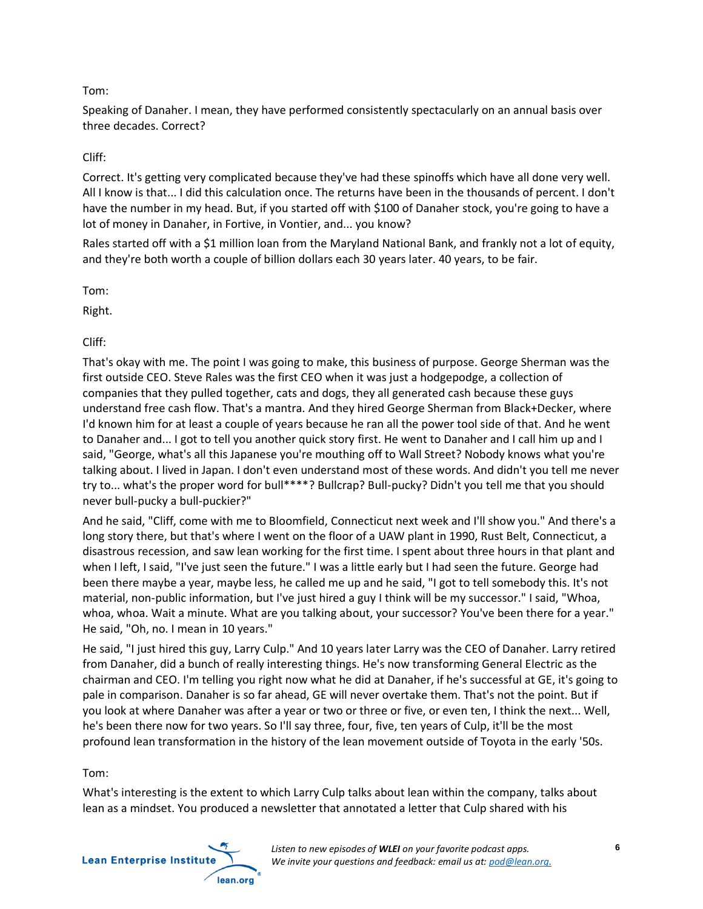#### Tom:

Speaking of Danaher. I mean, they have performed consistently spectacularly on an annual basis over three decades. Correct?

#### Cliff:

Correct. It's getting very complicated because they've had these spinoffs which have all done very well. All I know is that... I did this calculation once. The returns have been in the thousands of percent. I don't have the number in my head. But, if you started off with \$100 of Danaher stock, you're going to have a lot of money in Danaher, in Fortive, in Vontier, and... you know?

Rales started off with a \$1 million loan from the Maryland National Bank, and frankly not a lot of equity, and they're both worth a couple of billion dollars each 30 years later. 40 years, to be fair.

Tom:

Right.

## Cliff:

That's okay with me. The point I was going to make, this business of purpose. George Sherman was the first outside CEO. Steve Rales was the first CEO when it was just a hodgepodge, a collection of companies that they pulled together, cats and dogs, they all generated cash because these guys understand free cash flow. That's a mantra. And they hired George Sherman from Black+Decker, where I'd known him for at least a couple of years because he ran all the power tool side of that. And he went to Danaher and... I got to tell you another quick story first. He went to Danaher and I call him up and I said, "George, what's all this Japanese you're mouthing off to Wall Street? Nobody knows what you're talking about. I lived in Japan. I don't even understand most of these words. And didn't you tell me never try to... what's the proper word for bull\*\*\*\*? Bullcrap? Bull-pucky? Didn't you tell me that you should never bull-pucky a bull-puckier?"

And he said, "Cliff, come with me to Bloomfield, Connecticut next week and I'll show you." And there's a long story there, but that's where I went on the floor of a UAW plant in 1990, Rust Belt, Connecticut, a disastrous recession, and saw lean working for the first time. I spent about three hours in that plant and when I left, I said, "I've just seen the future." I was a little early but I had seen the future. George had been there maybe a year, maybe less, he called me up and he said, "I got to tell somebody this. It's not material, non-public information, but I've just hired a guy I think will be my successor." I said, "Whoa, whoa, whoa. Wait a minute. What are you talking about, your successor? You've been there for a year." He said, "Oh, no. I mean in 10 years."

He said, "I just hired this guy, Larry Culp." And 10 years later Larry was the CEO of Danaher. Larry retired from Danaher, did a bunch of really interesting things. He's now transforming General Electric as the chairman and CEO. I'm telling you right now what he did at Danaher, if he's successful at GE, it's going to pale in comparison. Danaher is so far ahead, GE will never overtake them. That's not the point. But if you look at where Danaher was after a year or two or three or five, or even ten, I think the next... Well, he's been there now for two years. So I'll say three, four, five, ten years of Culp, it'll be the most profound lean transformation in the history of the lean movement outside of Toyota in the early '50s.

#### Tom:

What's interesting is the extent to which Larry Culp talks about lean within the company, talks about lean as a mindset. You produced a newsletter that annotated a letter that Culp shared with his

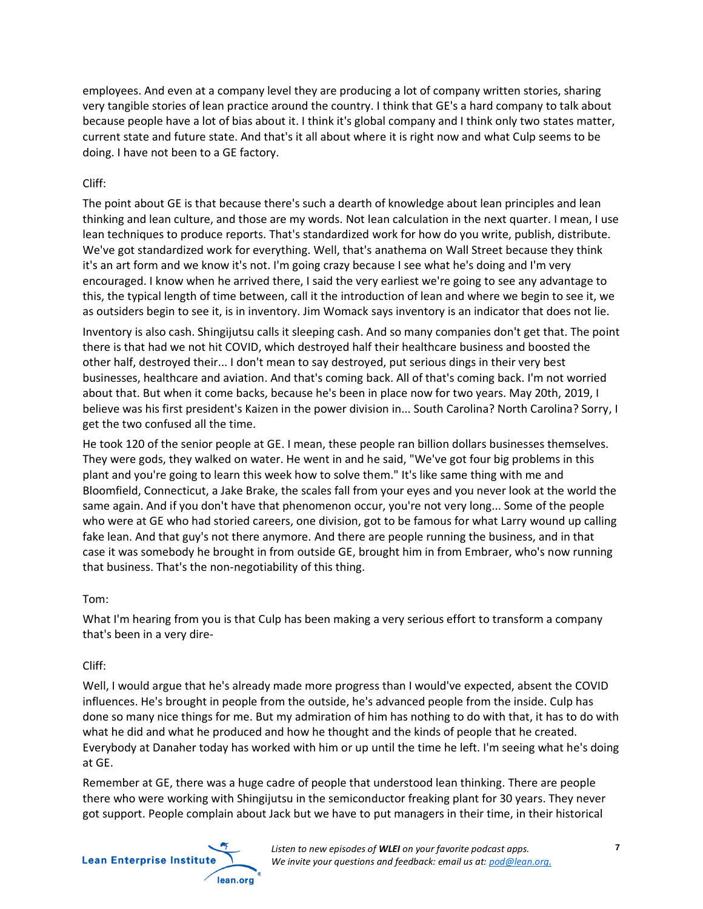employees. And even at a company level they are producing a lot of company written stories, sharing very tangible stories of lean practice around the country. I think that GE's a hard company to talk about because people have a lot of bias about it. I think it's global company and I think only two states matter, current state and future state. And that's it all about where it is right now and what Culp seems to be doing. I have not been to a GE factory.

#### Cliff:

The point about GE is that because there's such a dearth of knowledge about lean principles and lean thinking and lean culture, and those are my words. Not lean calculation in the next quarter. I mean, I use lean techniques to produce reports. That's standardized work for how do you write, publish, distribute. We've got standardized work for everything. Well, that's anathema on Wall Street because they think it's an art form and we know it's not. I'm going crazy because I see what he's doing and I'm very encouraged. I know when he arrived there, I said the very earliest we're going to see any advantage to this, the typical length of time between, call it the introduction of lean and where we begin to see it, we as outsiders begin to see it, is in inventory. Jim Womack says inventory is an indicator that does not lie.

Inventory is also cash. Shingijutsu calls it sleeping cash. And so many companies don't get that. The point there is that had we not hit COVID, which destroyed half their healthcare business and boosted the other half, destroyed their... I don't mean to say destroyed, put serious dings in their very best businesses, healthcare and aviation. And that's coming back. All of that's coming back. I'm not worried about that. But when it come backs, because he's been in place now for two years. May 20th, 2019, I believe was his first president's Kaizen in the power division in... South Carolina? North Carolina? Sorry, I get the two confused all the time.

He took 120 of the senior people at GE. I mean, these people ran billion dollars businesses themselves. They were gods, they walked on water. He went in and he said, "We've got four big problems in this plant and you're going to learn this week how to solve them." It's like same thing with me and Bloomfield, Connecticut, a Jake Brake, the scales fall from your eyes and you never look at the world the same again. And if you don't have that phenomenon occur, you're not very long... Some of the people who were at GE who had storied careers, one division, got to be famous for what Larry wound up calling fake lean. And that guy's not there anymore. And there are people running the business, and in that case it was somebody he brought in from outside GE, brought him in from Embraer, who's now running that business. That's the non-negotiability of this thing.

## Tom:

What I'm hearing from you is that Culp has been making a very serious effort to transform a company that's been in a very dire-

## Cliff:

Well, I would argue that he's already made more progress than I would've expected, absent the COVID influences. He's brought in people from the outside, he's advanced people from the inside. Culp has done so many nice things for me. But my admiration of him has nothing to do with that, it has to do with what he did and what he produced and how he thought and the kinds of people that he created. Everybody at Danaher today has worked with him or up until the time he left. I'm seeing what he's doing at GE.

Remember at GE, there was a huge cadre of people that understood lean thinking. There are people there who were working with Shingijutsu in the semiconductor freaking plant for 30 years. They never got support. People complain about Jack but we have to put managers in their time, in their historical

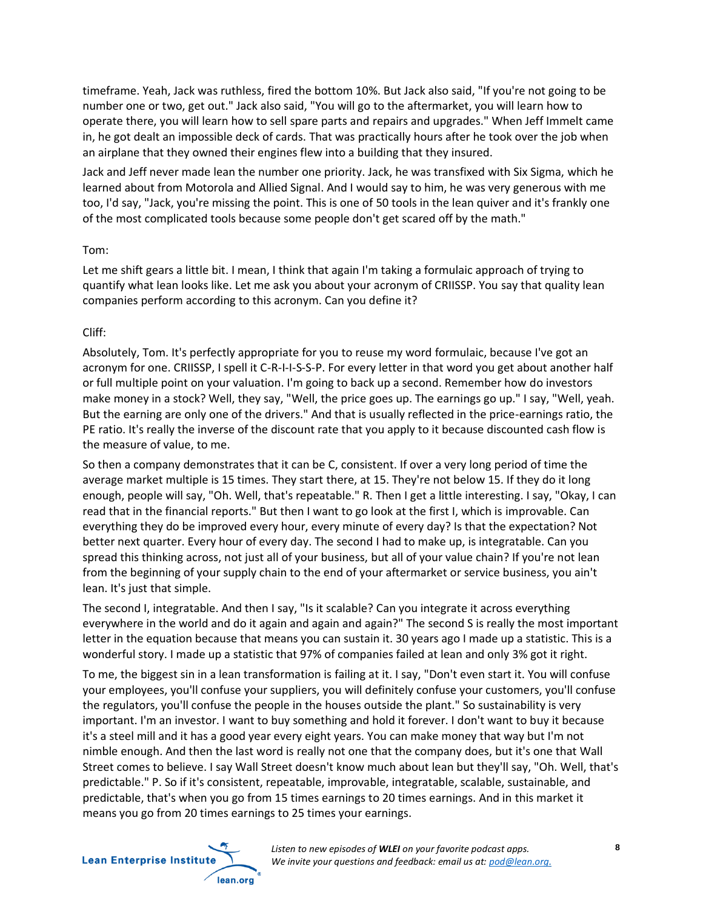timeframe. Yeah, Jack was ruthless, fired the bottom 10%. But Jack also said, "If you're not going to be number one or two, get out." Jack also said, "You will go to the aftermarket, you will learn how to operate there, you will learn how to sell spare parts and repairs and upgrades." When Jeff Immelt came in, he got dealt an impossible deck of cards. That was practically hours after he took over the job when an airplane that they owned their engines flew into a building that they insured.

Jack and Jeff never made lean the number one priority. Jack, he was transfixed with Six Sigma, which he learned about from Motorola and Allied Signal. And I would say to him, he was very generous with me too, I'd say, "Jack, you're missing the point. This is one of 50 tools in the lean quiver and it's frankly one of the most complicated tools because some people don't get scared off by the math."

#### Tom:

Let me shift gears a little bit. I mean, I think that again I'm taking a formulaic approach of trying to quantify what lean looks like. Let me ask you about your acronym of CRIISSP. You say that quality lean companies perform according to this acronym. Can you define it?

#### Cliff:

Absolutely, Tom. It's perfectly appropriate for you to reuse my word formulaic, because I've got an acronym for one. CRIISSP, I spell it C-R-I-I-S-S-P. For every letter in that word you get about another half or full multiple point on your valuation. I'm going to back up a second. Remember how do investors make money in a stock? Well, they say, "Well, the price goes up. The earnings go up." I say, "Well, yeah. But the earning are only one of the drivers." And that is usually reflected in the price-earnings ratio, the PE ratio. It's really the inverse of the discount rate that you apply to it because discounted cash flow is the measure of value, to me.

So then a company demonstrates that it can be C, consistent. If over a very long period of time the average market multiple is 15 times. They start there, at 15. They're not below 15. If they do it long enough, people will say, "Oh. Well, that's repeatable." R. Then I get a little interesting. I say, "Okay, I can read that in the financial reports." But then I want to go look at the first I, which is improvable. Can everything they do be improved every hour, every minute of every day? Is that the expectation? Not better next quarter. Every hour of every day. The second I had to make up, is integratable. Can you spread this thinking across, not just all of your business, but all of your value chain? If you're not lean from the beginning of your supply chain to the end of your aftermarket or service business, you ain't lean. It's just that simple.

The second I, integratable. And then I say, "Is it scalable? Can you integrate it across everything everywhere in the world and do it again and again and again?" The second S is really the most important letter in the equation because that means you can sustain it. 30 years ago I made up a statistic. This is a wonderful story. I made up a statistic that 97% of companies failed at lean and only 3% got it right.

To me, the biggest sin in a lean transformation is failing at it. I say, "Don't even start it. You will confuse your employees, you'll confuse your suppliers, you will definitely confuse your customers, you'll confuse the regulators, you'll confuse the people in the houses outside the plant." So sustainability is very important. I'm an investor. I want to buy something and hold it forever. I don't want to buy it because it's a steel mill and it has a good year every eight years. You can make money that way but I'm not nimble enough. And then the last word is really not one that the company does, but it's one that Wall Street comes to believe. I say Wall Street doesn't know much about lean but they'll say, "Oh. Well, that's predictable." P. So if it's consistent, repeatable, improvable, integratable, scalable, sustainable, and predictable, that's when you go from 15 times earnings to 20 times earnings. And in this market it means you go from 20 times earnings to 25 times your earnings.

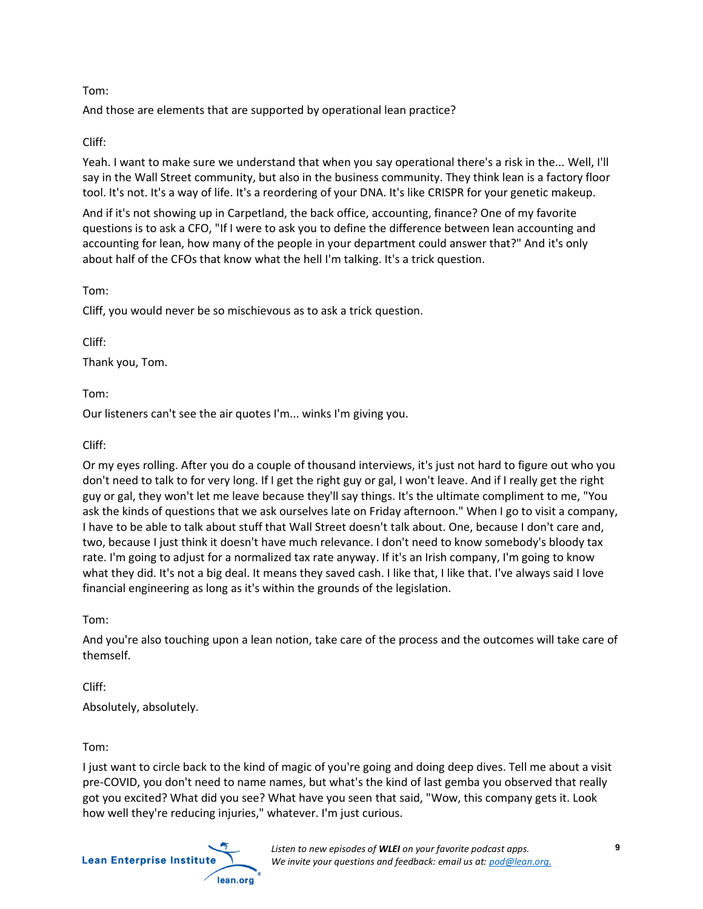#### Tom:

And those are elements that are supported by operational lean practice?

## Cliff:

Yeah. I want to make sure we understand that when you say operational there's a risk in the... Well, I'll say in the Wall Street community, but also in the business community. They think lean is a factory floor tool. It's not. It's a way of life. It's a reordering of your DNA. It's like CRISPR for your genetic makeup.

And if it's not showing up in Carpetland, the back office, accounting, finance? One of my favorite questions is to ask a CFO, "If I were to ask you to define the difference between lean accounting and accounting for lean, how many of the people in your department could answer that?" And it's only about half of the CFOs that know what the hell I'm talking. It's a trick question.

Tom:

Cliff, you would never be so mischievous as to ask a trick question.

Cliff:

Thank you, Tom.

Tom:

Our listeners can't see the air quotes I'm... winks I'm giving you.

Cliff:

Or my eyes rolling. After you do a couple of thousand interviews, it's just not hard to figure out who you don't need to talk to for very long. If I get the right guy or gal, I won't leave. And if I really get the right guy or gal, they won't let me leave because they'll say things. It's the ultimate compliment to me, "You ask the kinds of questions that we ask ourselves late on Friday afternoon." When I go to visit a company, I have to be able to talk about stuff that Wall Street doesn't talk about. One, because I don't care and, two, because I just think it doesn't have much relevance. I don't need to know somebody's bloody tax rate. I'm going to adjust for a normalized tax rate anyway. If it's an Irish company, I'm going to know what they did. It's not a big deal. It means they saved cash. I like that, I like that. I've always said I love financial engineering as long as it's within the grounds of the legislation.

Tom:

And you're also touching upon a lean notion, take care of the process and the outcomes will take care of themself.

Cliff: Absolutely, absolutely.

Tom:

I just want to circle back to the kind of magic of you're going and doing deep dives. Tell me about a visit pre-COVID, you don't need to name names, but what's the kind of last gemba you observed that really got you excited? What did you see? What have you seen that said, "Wow, this company gets it. Look how well they're reducing injuries," whatever. I'm just curious.

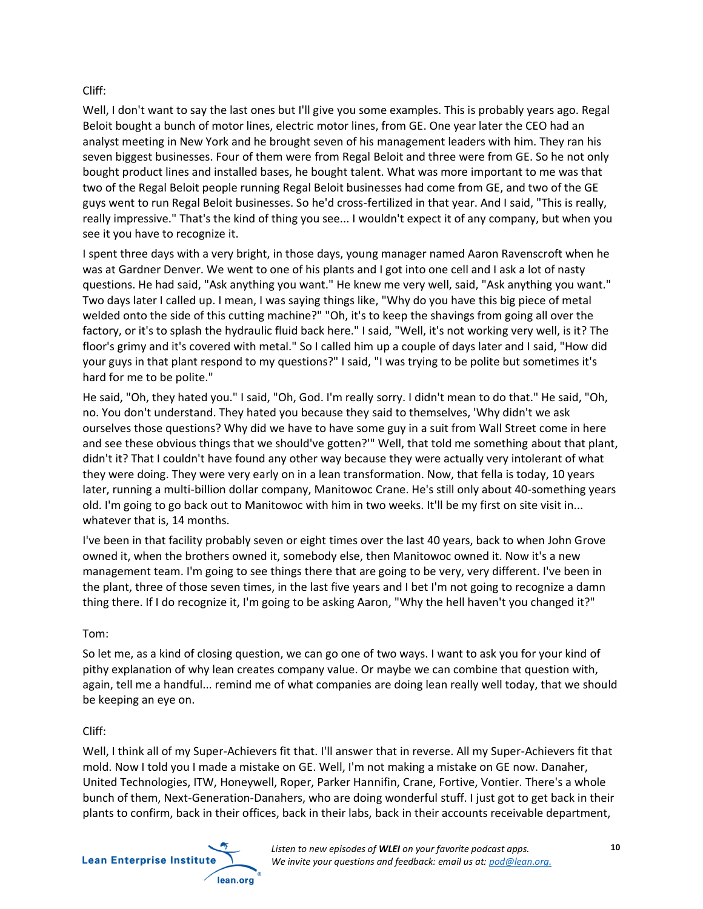#### Cliff:

Well, I don't want to say the last ones but I'll give you some examples. This is probably years ago. Regal Beloit bought a bunch of motor lines, electric motor lines, from GE. One year later the CEO had an analyst meeting in New York and he brought seven of his management leaders with him. They ran his seven biggest businesses. Four of them were from Regal Beloit and three were from GE. So he not only bought product lines and installed bases, he bought talent. What was more important to me was that two of the Regal Beloit people running Regal Beloit businesses had come from GE, and two of the GE guys went to run Regal Beloit businesses. So he'd cross-fertilized in that year. And I said, "This is really, really impressive." That's the kind of thing you see... I wouldn't expect it of any company, but when you see it you have to recognize it.

I spent three days with a very bright, in those days, young manager named Aaron Ravenscroft when he was at Gardner Denver. We went to one of his plants and I got into one cell and I ask a lot of nasty questions. He had said, "Ask anything you want." He knew me very well, said, "Ask anything you want." Two days later I called up. I mean, I was saying things like, "Why do you have this big piece of metal welded onto the side of this cutting machine?" "Oh, it's to keep the shavings from going all over the factory, or it's to splash the hydraulic fluid back here." I said, "Well, it's not working very well, is it? The floor's grimy and it's covered with metal." So I called him up a couple of days later and I said, "How did your guys in that plant respond to my questions?" I said, "I was trying to be polite but sometimes it's hard for me to be polite."

He said, "Oh, they hated you." I said, "Oh, God. I'm really sorry. I didn't mean to do that." He said, "Oh, no. You don't understand. They hated you because they said to themselves, 'Why didn't we ask ourselves those questions? Why did we have to have some guy in a suit from Wall Street come in here and see these obvious things that we should've gotten?'" Well, that told me something about that plant, didn't it? That I couldn't have found any other way because they were actually very intolerant of what they were doing. They were very early on in a lean transformation. Now, that fella is today, 10 years later, running a multi-billion dollar company, Manitowoc Crane. He's still only about 40-something years old. I'm going to go back out to Manitowoc with him in two weeks. It'll be my first on site visit in... whatever that is, 14 months.

I've been in that facility probably seven or eight times over the last 40 years, back to when John Grove owned it, when the brothers owned it, somebody else, then Manitowoc owned it. Now it's a new management team. I'm going to see things there that are going to be very, very different. I've been in the plant, three of those seven times, in the last five years and I bet I'm not going to recognize a damn thing there. If I do recognize it, I'm going to be asking Aaron, "Why the hell haven't you changed it?"

## Tom:

So let me, as a kind of closing question, we can go one of two ways. I want to ask you for your kind of pithy explanation of why lean creates company value. Or maybe we can combine that question with, again, tell me a handful... remind me of what companies are doing lean really well today, that we should be keeping an eye on.

#### Cliff:

Well, I think all of my Super-Achievers fit that. I'll answer that in reverse. All my Super-Achievers fit that mold. Now I told you I made a mistake on GE. Well, I'm not making a mistake on GE now. Danaher, United Technologies, ITW, Honeywell, Roper, Parker Hannifin, Crane, Fortive, Vontier. There's a whole bunch of them, Next-Generation-Danahers, who are doing wonderful stuff. I just got to get back in their plants to confirm, back in their offices, back in their labs, back in their accounts receivable department,